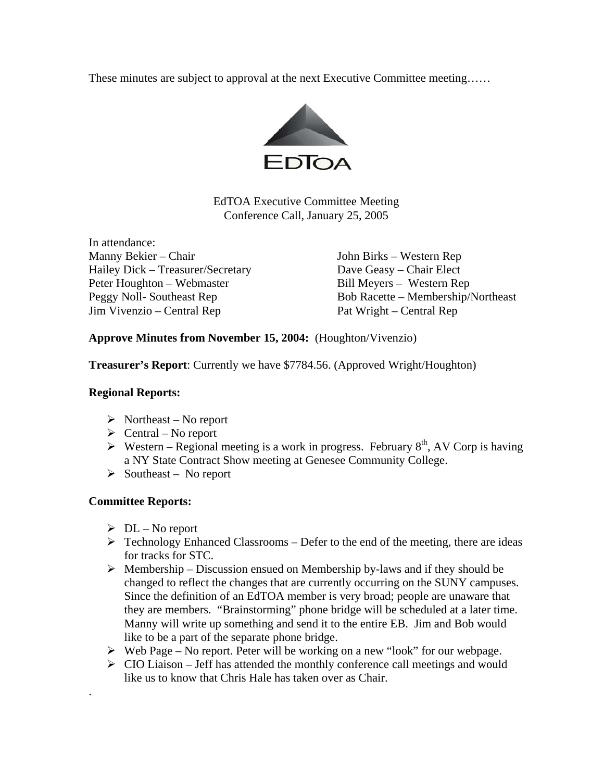These minutes are subject to approval at the next Executive Committee meeting……



EdTOA Executive Committee Meeting Conference Call, January 25, 2005

In attendance: Manny Bekier – Chair John Birks – Western Rep Hailey Dick – Treasurer/Secretary Dave Geasy – Chair Elect<br>
Peter Houghton – Webmaster Bill Mevers – Western Rep Peter Houghton – Webmaster Jim Vivenzio – Central Rep Pat Wright – Central Rep

Peggy Noll- Southeast Rep Bob Racette – Membership/Northeast

**Approve Minutes from November 15, 2004:** (Houghton/Vivenzio)

**Treasurer's Report**: Currently we have \$7784.56. (Approved Wright/Houghton)

## **Regional Reports:**

- $\triangleright$  Northeast No report
- $\triangleright$  Central No report
- $\triangleright$  Western Regional meeting is a work in progress. February 8<sup>th</sup>, AV Corp is having a NY State Contract Show meeting at Genesee Community College.
- $\triangleright$  Southeast No report

## **Committee Reports:**

.

- $\triangleright$  DL No report
- $\triangleright$  Technology Enhanced Classrooms Defer to the end of the meeting, there are ideas for tracks for STC.
- $\triangleright$  Membership Discussion ensued on Membership by-laws and if they should be changed to reflect the changes that are currently occurring on the SUNY campuses. Since the definition of an EdTOA member is very broad; people are unaware that they are members. "Brainstorming" phone bridge will be scheduled at a later time. Manny will write up something and send it to the entire EB. Jim and Bob would like to be a part of the separate phone bridge.
- $\triangleright$  Web Page No report. Peter will be working on a new "look" for our webpage.
- $\triangleright$  CIO Liaison Jeff has attended the monthly conference call meetings and would like us to know that Chris Hale has taken over as Chair.